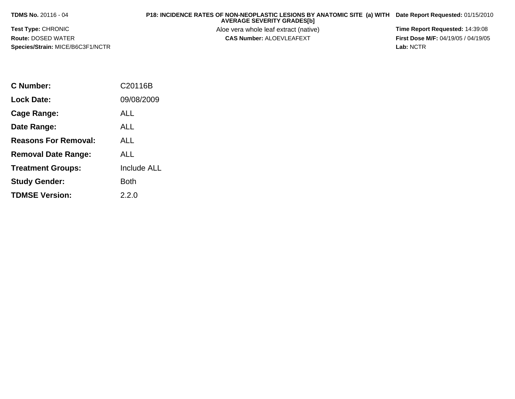**TDMS No.** 20116 - 04

 **P18: INCIDENCE RATES OF NON-NEOPLASTIC LESIONS BY ANATOMIC SITE (a) WITH AVERAGE SEVERITY GRADES[b] Date Report Requested:** 01/15/2010

**Test Type:** CHRONIC**Route:** DOSED WATER**Species/Strain:** MICE/B6C3F1/NCTR Aloe vera whole leaf extract (native) **Time Report Requested:** 14:39:08<br>**CAS Number:** ALOEVLEAFEXT **The State of the State of the First Dose M/F:** 04/19/05 / 04/19/05

**First Dose M/F:** 04/19/05 / 04/19/05<br>Lab: NCTR **Lab:** NCTR

| C Number:                   | C20116B            |
|-----------------------------|--------------------|
| Lock Date:                  | 09/08/2009         |
| Cage Range:                 | ALL                |
| Date Range:                 | ALL                |
| <b>Reasons For Removal:</b> | ALL                |
| <b>Removal Date Range:</b>  | <b>ALL</b>         |
| <b>Treatment Groups:</b>    | <b>Include ALL</b> |
| <b>Study Gender:</b>        | Both               |
| <b>TDMSE Version:</b>       | 2.2.0              |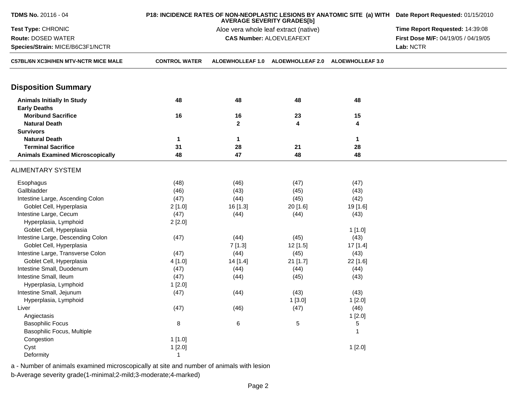| TDMS No. 20116 - 04                                      |                      | P18: INCIDENCE RATES OF NON-NEOPLASTIC LESIONS BY ANATOMIC SITE (a) WITH Date Report Requested: 01/15/2010 |                                 |                         |                                     |  |
|----------------------------------------------------------|----------------------|------------------------------------------------------------------------------------------------------------|---------------------------------|-------------------------|-------------------------------------|--|
| Test Type: CHRONIC                                       |                      | Aloe vera whole leaf extract (native)                                                                      |                                 |                         |                                     |  |
| Route: DOSED WATER                                       |                      |                                                                                                            | <b>CAS Number: ALOEVLEAFEXT</b> |                         | First Dose M/F: 04/19/05 / 04/19/05 |  |
| Species/Strain: MICE/B6C3F1/NCTR                         |                      |                                                                                                            |                                 |                         | Lab: NCTR                           |  |
| C57BL/6N XC3H/HEN MTV-NCTR MICE MALE                     | <b>CONTROL WATER</b> | <b>ALOEWHOLLEAF 1.0</b>                                                                                    | <b>ALOEWHOLLEAF 2.0</b>         | <b>ALOEWHOLLEAF 3.0</b> |                                     |  |
| <b>Disposition Summary</b>                               |                      |                                                                                                            |                                 |                         |                                     |  |
| <b>Animals Initially In Study</b><br><b>Early Deaths</b> | 48                   | 48                                                                                                         | 48                              | 48                      |                                     |  |
| <b>Moribund Sacrifice</b>                                | 16                   | 16                                                                                                         | 23                              | 15                      |                                     |  |
| <b>Natural Death</b>                                     |                      | $\mathbf{2}$                                                                                               | 4                               | 4                       |                                     |  |
| <b>Survivors</b>                                         |                      |                                                                                                            |                                 |                         |                                     |  |
| <b>Natural Death</b>                                     | $\mathbf 1$          | $\mathbf{1}$                                                                                               |                                 | $\mathbf{1}$            |                                     |  |
| <b>Terminal Sacrifice</b>                                | 31                   | 28                                                                                                         | 21                              | 28                      |                                     |  |
| <b>Animals Examined Microscopically</b>                  | 48                   | 47                                                                                                         | 48                              | 48                      |                                     |  |
| <b>ALIMENTARY SYSTEM</b>                                 |                      |                                                                                                            |                                 |                         |                                     |  |
| Esophagus                                                | (48)                 | (46)                                                                                                       | (47)                            | (47)                    |                                     |  |
| Gallbladder                                              | (46)                 | (43)                                                                                                       | (45)                            | (43)                    |                                     |  |
| Intestine Large, Ascending Colon                         | (47)                 | (44)                                                                                                       | (45)                            | (42)                    |                                     |  |
| Goblet Cell, Hyperplasia                                 | 2[1.0]               | 16 [1.3]                                                                                                   | 20 [1.6]                        | 19 [1.6]                |                                     |  |
| Intestine Large, Cecum                                   | (47)                 | (44)                                                                                                       | (44)                            | (43)                    |                                     |  |
| Hyperplasia, Lymphoid                                    | 2[2.0]               |                                                                                                            |                                 |                         |                                     |  |
| Goblet Cell, Hyperplasia                                 |                      |                                                                                                            |                                 | 1[1.0]                  |                                     |  |
| Intestine Large, Descending Colon                        | (47)                 | (44)                                                                                                       | (45)                            | (43)                    |                                     |  |
| Goblet Cell, Hyperplasia                                 |                      | 7[1.3]                                                                                                     | 12 [1.5]                        | 17 [1.4]                |                                     |  |
| Intestine Large, Transverse Colon                        | (47)                 | (44)                                                                                                       | (45)                            | (43)                    |                                     |  |
| Goblet Cell, Hyperplasia                                 | 4 [1.0]              | 14 [1.4]                                                                                                   | 21 [1.7]                        | 22 [1.6]                |                                     |  |
| Intestine Small, Duodenum                                | (47)                 | (44)                                                                                                       | (44)                            | (44)                    |                                     |  |
| Intestine Small, Ileum                                   | (47)                 | (44)                                                                                                       | (45)                            | (43)                    |                                     |  |
| Hyperplasia, Lymphoid                                    | 1[2.0]               |                                                                                                            |                                 |                         |                                     |  |
| Intestine Small, Jejunum                                 | (47)                 | (44)                                                                                                       | (43)                            | (43)                    |                                     |  |
| Hyperplasia, Lymphoid                                    |                      |                                                                                                            | 1[3.0]                          | 1[2.0]                  |                                     |  |
| Liver                                                    | (47)                 | (46)                                                                                                       | (47)                            | (46)                    |                                     |  |
| Angiectasis                                              |                      |                                                                                                            |                                 | 1[2.0]                  |                                     |  |
| <b>Basophilic Focus</b>                                  | $\bf 8$              | 6                                                                                                          | 5                               | 5                       |                                     |  |
| Basophilic Focus, Multiple                               |                      |                                                                                                            |                                 | 1                       |                                     |  |
| Congestion                                               | 1[1.0]               |                                                                                                            |                                 |                         |                                     |  |
| Cyst                                                     | 1[2.0]               |                                                                                                            |                                 | 1[2.0]                  |                                     |  |
| Deformity                                                | $\overline{1}$       |                                                                                                            |                                 |                         |                                     |  |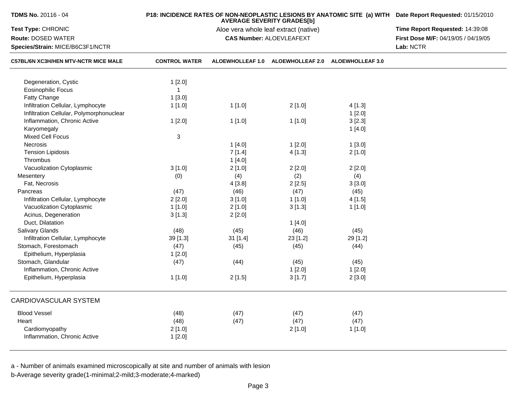| TDMS No. 20116 - 04                         |                      | P18: INCIDENCE RATES OF NON-NEOPLASTIC LESIONS BY ANATOMIC SITE (a) WITH Date Report Requested: 01/15/2010<br>Time Report Requested: 14:39:08 |                                                    |          |                                     |
|---------------------------------------------|----------------------|-----------------------------------------------------------------------------------------------------------------------------------------------|----------------------------------------------------|----------|-------------------------------------|
| Test Type: CHRONIC                          |                      |                                                                                                                                               |                                                    |          |                                     |
| Route: DOSED WATER                          |                      |                                                                                                                                               | <b>CAS Number: ALOEVLEAFEXT</b>                    |          | First Dose M/F: 04/19/05 / 04/19/05 |
| Species/Strain: MICE/B6C3F1/NCTR            |                      |                                                                                                                                               |                                                    |          | Lab: NCTR                           |
| <b>C57BL/6N XC3H/HEN MTV-NCTR MICE MALE</b> | <b>CONTROL WATER</b> |                                                                                                                                               | ALOEWHOLLEAF 1.0 ALOEWHOLLEAF 2.0 ALOEWHOLLEAF 3.0 |          |                                     |
| Degeneration, Cystic                        | 1[2.0]               |                                                                                                                                               |                                                    |          |                                     |
| <b>Eosinophilic Focus</b>                   | $\mathbf{1}$         |                                                                                                                                               |                                                    |          |                                     |
| Fatty Change                                | 1[3.0]               |                                                                                                                                               |                                                    |          |                                     |
| Infiltration Cellular, Lymphocyte           | 1[1.0]               | 1[1.0]                                                                                                                                        | 2[1.0]                                             | 4[1.3]   |                                     |
| Infiltration Cellular, Polymorphonuclear    |                      |                                                                                                                                               |                                                    | 1[2.0]   |                                     |
| Inflammation, Chronic Active                | 1[2.0]               | 1[1.0]                                                                                                                                        | 1[1.0]                                             | 3[2.3]   |                                     |
| Karyomegaly                                 |                      |                                                                                                                                               |                                                    | 1[4.0]   |                                     |
| <b>Mixed Cell Focus</b>                     | 3                    |                                                                                                                                               |                                                    |          |                                     |
| Necrosis                                    |                      | 1[4.0]                                                                                                                                        | 1[2.0]                                             | 1[3.0]   |                                     |
| <b>Tension Lipidosis</b>                    |                      | 7[1.4]                                                                                                                                        | 4[1.3]                                             | 2[1.0]   |                                     |
| Thrombus                                    |                      | 1[4.0]                                                                                                                                        |                                                    |          |                                     |
| Vacuolization Cytoplasmic                   | 3[1.0]               | 2[1.0]                                                                                                                                        | 2[2.0]                                             | 2[2.0]   |                                     |
| Mesentery                                   | (0)                  | (4)                                                                                                                                           | (2)                                                | (4)      |                                     |
| Fat, Necrosis                               |                      | 4[3.8]                                                                                                                                        | 2[2.5]                                             | 3[3.0]   |                                     |
| Pancreas                                    | (47)                 | (46)                                                                                                                                          | (47)                                               | (45)     |                                     |
| Infiltration Cellular, Lymphocyte           | 2[2.0]               | 3[1.0]                                                                                                                                        | 1[1.0]                                             | 4[1.5]   |                                     |
| Vacuolization Cytoplasmic                   | 1[1.0]               | 2[1.0]                                                                                                                                        | 3[1.3]                                             | 1[1.0]   |                                     |
| Acinus, Degeneration                        | 3[1.3]               | 2[2.0]                                                                                                                                        |                                                    |          |                                     |
| Duct, Dilatation                            |                      |                                                                                                                                               | 1[4.0]                                             |          |                                     |
| <b>Salivary Glands</b>                      | (48)                 | (45)                                                                                                                                          | (46)                                               | (45)     |                                     |
| Infiltration Cellular, Lymphocyte           | 39 [1.3]             | 31[1.4]                                                                                                                                       | 23 [1.2]                                           | 29 [1.2] |                                     |
| Stomach, Forestomach                        | (47)                 | (45)                                                                                                                                          | (45)                                               | (44)     |                                     |
| Epithelium, Hyperplasia                     | 1[2.0]               |                                                                                                                                               |                                                    |          |                                     |
| Stomach, Glandular                          | (47)                 | (44)                                                                                                                                          | (45)                                               | (45)     |                                     |
| Inflammation, Chronic Active                |                      |                                                                                                                                               | 1[2.0]                                             | 1[2.0]   |                                     |
| Epithelium, Hyperplasia                     | 1[1.0]               | 2[1.5]                                                                                                                                        | 3[1.7]                                             | 2[3.0]   |                                     |
|                                             |                      |                                                                                                                                               |                                                    |          |                                     |
| CARDIOVASCULAR SYSTEM                       |                      |                                                                                                                                               |                                                    |          |                                     |
| <b>Blood Vessel</b>                         | (48)                 | (47)                                                                                                                                          | (47)                                               | (47)     |                                     |
| Heart                                       | (48)                 | (47)                                                                                                                                          | (47)                                               | (47)     |                                     |
| Cardiomyopathy                              | 2[1.0]               |                                                                                                                                               | 2[1.0]                                             | 1[1.0]   |                                     |
| Inflammation, Chronic Active                | 1[2.0]               |                                                                                                                                               |                                                    |          |                                     |
|                                             |                      |                                                                                                                                               |                                                    |          |                                     |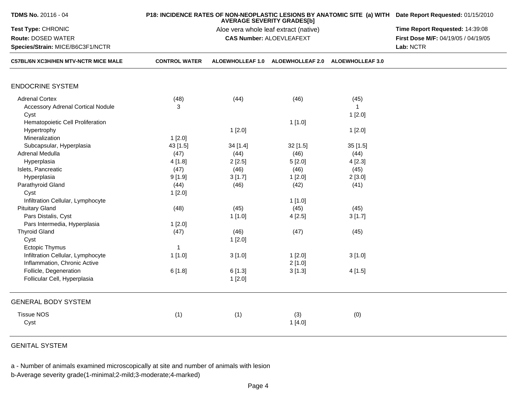|                      | P18: INCIDENCE RATES OF NON-NEOPLASTIC LESIONS BY ANATOMIC SITE (a) WITH Date Report Requested: 01/15/2010                                            |                                                                                                                               |                                                                                                                                                                                                                                                            |                                                                                                                                                                                            |
|----------------------|-------------------------------------------------------------------------------------------------------------------------------------------------------|-------------------------------------------------------------------------------------------------------------------------------|------------------------------------------------------------------------------------------------------------------------------------------------------------------------------------------------------------------------------------------------------------|--------------------------------------------------------------------------------------------------------------------------------------------------------------------------------------------|
|                      | Time Report Requested: 14:39:08<br>First Dose M/F: 04/19/05 / 04/19/05                                                                                |                                                                                                                               |                                                                                                                                                                                                                                                            |                                                                                                                                                                                            |
|                      |                                                                                                                                                       | Lab: NCTR                                                                                                                     |                                                                                                                                                                                                                                                            |                                                                                                                                                                                            |
| <b>CONTROL WATER</b> |                                                                                                                                                       |                                                                                                                               |                                                                                                                                                                                                                                                            |                                                                                                                                                                                            |
|                      |                                                                                                                                                       |                                                                                                                               |                                                                                                                                                                                                                                                            |                                                                                                                                                                                            |
|                      | (44)                                                                                                                                                  | (46)                                                                                                                          |                                                                                                                                                                                                                                                            |                                                                                                                                                                                            |
| 3                    |                                                                                                                                                       |                                                                                                                               | $\overline{1}$                                                                                                                                                                                                                                             |                                                                                                                                                                                            |
|                      |                                                                                                                                                       |                                                                                                                               |                                                                                                                                                                                                                                                            |                                                                                                                                                                                            |
|                      |                                                                                                                                                       |                                                                                                                               |                                                                                                                                                                                                                                                            |                                                                                                                                                                                            |
|                      |                                                                                                                                                       |                                                                                                                               |                                                                                                                                                                                                                                                            |                                                                                                                                                                                            |
|                      |                                                                                                                                                       |                                                                                                                               |                                                                                                                                                                                                                                                            |                                                                                                                                                                                            |
|                      |                                                                                                                                                       |                                                                                                                               |                                                                                                                                                                                                                                                            |                                                                                                                                                                                            |
|                      |                                                                                                                                                       |                                                                                                                               |                                                                                                                                                                                                                                                            |                                                                                                                                                                                            |
|                      |                                                                                                                                                       |                                                                                                                               |                                                                                                                                                                                                                                                            |                                                                                                                                                                                            |
|                      |                                                                                                                                                       |                                                                                                                               |                                                                                                                                                                                                                                                            |                                                                                                                                                                                            |
|                      |                                                                                                                                                       |                                                                                                                               |                                                                                                                                                                                                                                                            |                                                                                                                                                                                            |
|                      |                                                                                                                                                       |                                                                                                                               |                                                                                                                                                                                                                                                            |                                                                                                                                                                                            |
|                      |                                                                                                                                                       |                                                                                                                               |                                                                                                                                                                                                                                                            |                                                                                                                                                                                            |
|                      |                                                                                                                                                       |                                                                                                                               |                                                                                                                                                                                                                                                            |                                                                                                                                                                                            |
|                      |                                                                                                                                                       |                                                                                                                               |                                                                                                                                                                                                                                                            |                                                                                                                                                                                            |
|                      |                                                                                                                                                       |                                                                                                                               |                                                                                                                                                                                                                                                            |                                                                                                                                                                                            |
|                      |                                                                                                                                                       |                                                                                                                               |                                                                                                                                                                                                                                                            |                                                                                                                                                                                            |
|                      |                                                                                                                                                       |                                                                                                                               |                                                                                                                                                                                                                                                            |                                                                                                                                                                                            |
|                      |                                                                                                                                                       |                                                                                                                               |                                                                                                                                                                                                                                                            |                                                                                                                                                                                            |
|                      |                                                                                                                                                       |                                                                                                                               |                                                                                                                                                                                                                                                            |                                                                                                                                                                                            |
|                      |                                                                                                                                                       |                                                                                                                               |                                                                                                                                                                                                                                                            |                                                                                                                                                                                            |
|                      |                                                                                                                                                       |                                                                                                                               |                                                                                                                                                                                                                                                            |                                                                                                                                                                                            |
|                      |                                                                                                                                                       |                                                                                                                               |                                                                                                                                                                                                                                                            |                                                                                                                                                                                            |
|                      | 1[2.0]                                                                                                                                                |                                                                                                                               |                                                                                                                                                                                                                                                            |                                                                                                                                                                                            |
|                      |                                                                                                                                                       |                                                                                                                               |                                                                                                                                                                                                                                                            |                                                                                                                                                                                            |
|                      |                                                                                                                                                       |                                                                                                                               |                                                                                                                                                                                                                                                            |                                                                                                                                                                                            |
|                      |                                                                                                                                                       | 1[4.0]                                                                                                                        |                                                                                                                                                                                                                                                            |                                                                                                                                                                                            |
|                      | (48)<br>1[2.0]<br>43 [1.5]<br>(47)<br>4[1.8]<br>(47)<br>9[1.9]<br>(44)<br>1[2.0]<br>(48)<br>1[2.0]<br>(47)<br>$\mathbf{1}$<br>1[1.0]<br>6[1.8]<br>(1) | 1[2.0]<br>34 [1.4]<br>(44)<br>2[2.5]<br>(46)<br>3[1.7]<br>(46)<br>(45)<br>1[1.0]<br>(46)<br>1[2.0]<br>3[1.0]<br>6[1.3]<br>(1) | <b>AVERAGE SEVERITY GRADES[b]</b><br>Aloe vera whole leaf extract (native)<br><b>CAS Number: ALOEVLEAFEXT</b><br>1[1.0]<br>$32$ [1.5]<br>(46)<br>5[2.0]<br>(46)<br>1[2.0]<br>(42)<br>1[1.0]<br>(45)<br>4[2.5]<br>(47)<br>1[2.0]<br>2[1.0]<br>3[1.3]<br>(3) | ALOEWHOLLEAF 1.0 ALOEWHOLLEAF 2.0 ALOEWHOLLEAF 3.0<br>(45)<br>1[2.0]<br>1[2.0]<br>35[1.5]<br>(44)<br>4[2.3]<br>(45)<br>2[3.0]<br>(41)<br>(45)<br>3[1.7]<br>(45)<br>3[1.0]<br>4[1.5]<br>(0) |

GENITAL SYSTEM

a - Number of animals examined microscopically at site and number of animals with lesion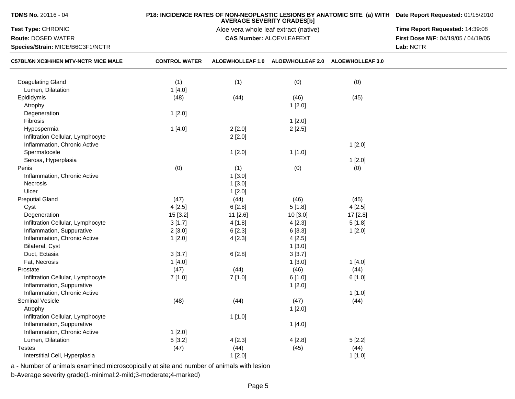| TDMS No. 20116 - 04                  |                      | P18: INCIDENCE RATES OF NON-NEOPLASTIC LESIONS BY ANATOMIC SITE (a) WITH Date Report Requested: 01/15/2010 |                                   |          |                                     |
|--------------------------------------|----------------------|------------------------------------------------------------------------------------------------------------|-----------------------------------|----------|-------------------------------------|
| Test Type: CHRONIC                   |                      | Time Report Requested: 14:39:08                                                                            |                                   |          |                                     |
| Route: DOSED WATER                   |                      |                                                                                                            | <b>CAS Number: ALOEVLEAFEXT</b>   |          | First Dose M/F: 04/19/05 / 04/19/05 |
| Species/Strain: MICE/B6C3F1/NCTR     |                      |                                                                                                            |                                   |          | Lab: NCTR                           |
| C57BL/6N XC3H/HEN MTV-NCTR MICE MALE | <b>CONTROL WATER</b> | <b>ALOEWHOLLEAF 1.0</b>                                                                                    | ALOEWHOLLEAF 2.0 ALOEWHOLLEAF 3.0 |          |                                     |
| <b>Coagulating Gland</b>             | (1)                  | (1)                                                                                                        | (0)                               | (0)      |                                     |
| Lumen, Dilatation                    | 1[4.0]               |                                                                                                            |                                   |          |                                     |
| Epididymis                           | (48)                 | (44)                                                                                                       | (46)                              | (45)     |                                     |
| Atrophy                              |                      |                                                                                                            | 1[2.0]                            |          |                                     |
| Degeneration                         | 1[2.0]               |                                                                                                            |                                   |          |                                     |
| Fibrosis                             |                      |                                                                                                            | 1[2.0]                            |          |                                     |
| Hypospermia                          | 1[4.0]               | 2[2.0]                                                                                                     | 2[2.5]                            |          |                                     |
| Infiltration Cellular, Lymphocyte    |                      | 2[2.0]                                                                                                     |                                   |          |                                     |
| Inflammation, Chronic Active         |                      |                                                                                                            |                                   | 1[2.0]   |                                     |
| Spermatocele                         |                      | 1[2.0]                                                                                                     | 1[1.0]                            |          |                                     |
| Serosa, Hyperplasia                  |                      |                                                                                                            |                                   | 1[2.0]   |                                     |
| Penis                                | (0)                  | (1)                                                                                                        | (0)                               | (0)      |                                     |
| Inflammation, Chronic Active         |                      | 1[3.0]                                                                                                     |                                   |          |                                     |
| Necrosis                             |                      | 1[3.0]                                                                                                     |                                   |          |                                     |
| Ulcer                                |                      | 1[2.0]                                                                                                     |                                   |          |                                     |
| <b>Preputial Gland</b>               | (47)                 | (44)                                                                                                       | (46)                              | (45)     |                                     |
| Cyst                                 | 4[2.5]               | 6[2.8]                                                                                                     | 5[1.8]                            | 4[2.5]   |                                     |
| Degeneration                         | 15 [3.2]             | 11 [2.6]                                                                                                   | 10 [3.0]                          | 17 [2.8] |                                     |
| Infiltration Cellular, Lymphocyte    | 3[1.7]               | 4[1.8]                                                                                                     | 4[2.3]                            | 5[1.8]   |                                     |
| Inflammation, Suppurative            | 2[3.0]               | 6[2.3]                                                                                                     | 6 [3.3]                           | 1[2.0]   |                                     |
| Inflammation, Chronic Active         | 1[2.0]               | 4[2.3]                                                                                                     | 4[2.5]                            |          |                                     |
| Bilateral, Cyst                      |                      |                                                                                                            | 1[3.0]                            |          |                                     |
| Duct, Ectasia                        | 3[3.7]               | 6[2.8]                                                                                                     | 3[3.7]                            |          |                                     |
| Fat, Necrosis                        | 1 [4.0]              |                                                                                                            | 1[3.0]                            | 1[4.0]   |                                     |
| Prostate                             | (47)                 | (44)                                                                                                       | (46)                              | (44)     |                                     |
| Infiltration Cellular, Lymphocyte    | 7[1.0]               | 7 [1.0]                                                                                                    | 6[1.0]                            | 6[1.0]   |                                     |
| Inflammation, Suppurative            |                      |                                                                                                            | 1[2.0]                            |          |                                     |
| Inflammation, Chronic Active         |                      |                                                                                                            |                                   | 1[1.0]   |                                     |
| <b>Seminal Vesicle</b>               | (48)                 | (44)                                                                                                       | (47)                              | (44)     |                                     |
|                                      |                      |                                                                                                            |                                   |          |                                     |
| Atrophy                              |                      |                                                                                                            | 1[2.0]                            |          |                                     |
| Infiltration Cellular, Lymphocyte    |                      | 1[1.0]                                                                                                     |                                   |          |                                     |
| Inflammation, Suppurative            |                      |                                                                                                            | 1[4.0]                            |          |                                     |
| Inflammation, Chronic Active         | 1[2.0]               |                                                                                                            |                                   |          |                                     |
| Lumen, Dilatation                    | 5[3.2]               | 4[2.3]                                                                                                     | 4[2.8]                            | 5[2.2]   |                                     |
| <b>Testes</b>                        | (47)                 | (44)                                                                                                       | (45)                              | (44)     |                                     |
| Interstitial Cell, Hyperplasia       |                      | 1[2.0]                                                                                                     |                                   | 1[1.0]   |                                     |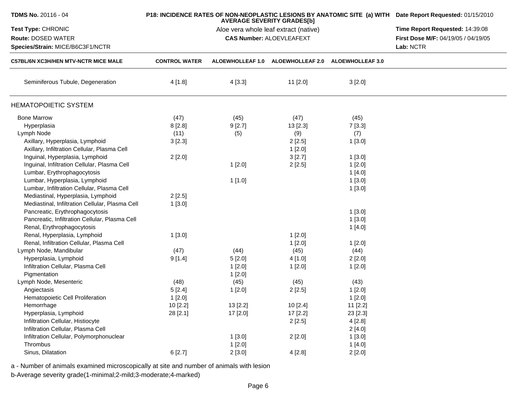| TDMS No. 20116 - 04                                    |                      | P18: INCIDENCE RATES OF NON-NEOPLASTIC LESIONS BY ANATOMIC SITE (a) WITH Date Report Requested: 01/15/2010<br>Time Report Requested: 14:39:08 |                                                    |          |  |
|--------------------------------------------------------|----------------------|-----------------------------------------------------------------------------------------------------------------------------------------------|----------------------------------------------------|----------|--|
| <b>Test Type: CHRONIC</b>                              |                      |                                                                                                                                               |                                                    |          |  |
| Route: DOSED WATER<br>Species/Strain: MICE/B6C3F1/NCTR |                      |                                                                                                                                               | First Dose M/F: 04/19/05 / 04/19/05<br>Lab: NCTR   |          |  |
| <b>C57BL/6N XC3H/HEN MTV-NCTR MICE MALE</b>            | <b>CONTROL WATER</b> |                                                                                                                                               | ALOEWHOLLEAF 1.0 ALOEWHOLLEAF 2.0 ALOEWHOLLEAF 3.0 |          |  |
| Seminiferous Tubule, Degeneration                      | 4[1.8]               | 4[3.3]                                                                                                                                        | $11$ [2.0]                                         | 3[2.0]   |  |
| <b>HEMATOPOIETIC SYSTEM</b>                            |                      |                                                                                                                                               |                                                    |          |  |
| <b>Bone Marrow</b>                                     | (47)                 | (45)                                                                                                                                          | (47)                                               | (45)     |  |
| Hyperplasia                                            | 8[2.8]               | 9[2.7]                                                                                                                                        | 13 [2.3]                                           | 7[3.3]   |  |
| Lymph Node                                             | (11)                 | (5)                                                                                                                                           | (9)                                                | (7)      |  |
| Axillary, Hyperplasia, Lymphoid                        | 3[2.3]               |                                                                                                                                               | 2[2.5]                                             | 1[3.0]   |  |
| Axillary, Infiltration Cellular, Plasma Cell           |                      |                                                                                                                                               | 1[2.0]                                             |          |  |
| Inguinal, Hyperplasia, Lymphoid                        | 2[2.0]               |                                                                                                                                               | 3[2.7]                                             | 1[3.0]   |  |
| Inguinal, Infiltration Cellular, Plasma Cell           |                      | 1[2.0]                                                                                                                                        | 2[2.5]                                             | 1[2.0]   |  |
| Lumbar, Erythrophagocytosis                            |                      |                                                                                                                                               |                                                    | 1[4.0]   |  |
| Lumbar, Hyperplasia, Lymphoid                          |                      | 1[1.0]                                                                                                                                        |                                                    | 1[3.0]   |  |
| Lumbar, Infiltration Cellular, Plasma Cell             |                      |                                                                                                                                               |                                                    | 1[3.0]   |  |
| Mediastinal, Hyperplasia, Lymphoid                     | 2[2.5]               |                                                                                                                                               |                                                    |          |  |
| Mediastinal, Infiltration Cellular, Plasma Cell        | 1[3.0]               |                                                                                                                                               |                                                    |          |  |
| Pancreatic, Erythrophagocytosis                        |                      |                                                                                                                                               |                                                    | 1[3.0]   |  |
| Pancreatic, Infiltration Cellular, Plasma Cell         |                      |                                                                                                                                               |                                                    | 1[3.0]   |  |
| Renal, Erythrophagocytosis                             |                      |                                                                                                                                               |                                                    | 1[4.0]   |  |
| Renal, Hyperplasia, Lymphoid                           | 1[3.0]               |                                                                                                                                               | 1[2.0]                                             |          |  |
| Renal, Infiltration Cellular, Plasma Cell              |                      |                                                                                                                                               | 1[2.0]                                             | 1[2.0]   |  |
| Lymph Node, Mandibular                                 | (47)                 | (44)                                                                                                                                          | (45)                                               | (44)     |  |
| Hyperplasia, Lymphoid                                  | 9[1.4]               | 5[2.0]                                                                                                                                        | 4[1.0]                                             | 2[2.0]   |  |
| Infiltration Cellular, Plasma Cell                     |                      | 1[2.0]                                                                                                                                        | 1[2.0]                                             | 1[2.0]   |  |
| Pigmentation                                           |                      | 1[2.0]                                                                                                                                        |                                                    |          |  |
| Lymph Node, Mesenteric                                 | (48)                 | (45)                                                                                                                                          | (45)                                               | (43)     |  |
| Angiectasis                                            | 5[2.4]               | 1[2.0]                                                                                                                                        | 2[2.5]                                             | 1[2.0]   |  |
| Hematopoietic Cell Proliferation                       | 1[2.0]               |                                                                                                                                               |                                                    | 1[2.0]   |  |
| Hemorrhage                                             | 10 [2.2]             | 13 [2.2]                                                                                                                                      | 10 [2.4]                                           | 11 [2.2] |  |
| Hyperplasia, Lymphoid                                  | 28 [2.1]             | 17 [2.0]                                                                                                                                      | 17 [2.2]                                           | 23 [2.3] |  |
| Infiltration Cellular, Histiocyte                      |                      |                                                                                                                                               | 2[2.5]                                             | 4[2.8]   |  |
| Infiltration Cellular, Plasma Cell                     |                      |                                                                                                                                               |                                                    | 2[4.0]   |  |
| Infiltration Cellular, Polymorphonuclear               |                      | 1[3.0]                                                                                                                                        | 2[2.0]                                             | 1[3.0]   |  |
| Thrombus                                               |                      | 1[2.0]                                                                                                                                        |                                                    | 1[4.0]   |  |
| Sinus, Dilatation                                      | 6[2.7]               | 2[3.0]                                                                                                                                        | 4[2.8]                                             | 2[2.0]   |  |
|                                                        |                      |                                                                                                                                               |                                                    |          |  |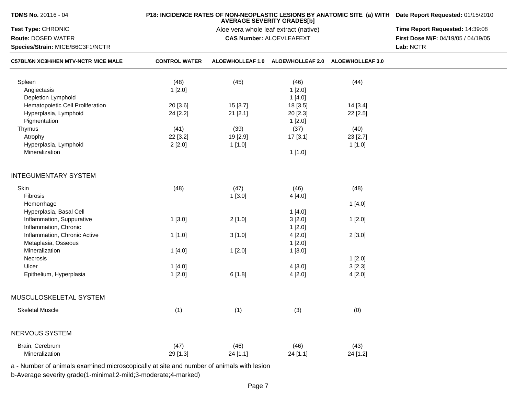| <b>TDMS No. 20116 - 04</b>                                                               |                      | P18: INCIDENCE RATES OF NON-NEOPLASTIC LESIONS BY ANATOMIC SITE (a) WITH Date Report Requested: 01/15/2010<br>Time Report Requested: 14:39:08<br>First Dose M/F: 04/19/05 / 04/19/05<br>Lab: NCTR |                         |                         |  |
|------------------------------------------------------------------------------------------|----------------------|---------------------------------------------------------------------------------------------------------------------------------------------------------------------------------------------------|-------------------------|-------------------------|--|
| Test Type: CHRONIC<br>Route: DOSED WATER<br>Species/Strain: MICE/B6C3F1/NCTR             |                      |                                                                                                                                                                                                   |                         |                         |  |
| <b>C57BL/6N XC3H/HEN MTV-NCTR MICE MALE</b>                                              | <b>CONTROL WATER</b> | <b>ALOEWHOLLEAF 1.0</b>                                                                                                                                                                           | <b>ALOEWHOLLEAF 2.0</b> | <b>ALOEWHOLLEAF 3.0</b> |  |
| Spleen                                                                                   | (48)                 | (45)                                                                                                                                                                                              | (46)                    | (44)                    |  |
| Angiectasis<br>Depletion Lymphoid                                                        | 1[2.0]               |                                                                                                                                                                                                   | 1[2.0]<br>1[4.0]        |                         |  |
| Hematopoietic Cell Proliferation                                                         | 20 [3.6]             | 15 [3.7]                                                                                                                                                                                          | 18 [3.5]                | 14 [3.4]                |  |
| Hyperplasia, Lymphoid                                                                    | 24 [2.2]             | 21 [2.1]                                                                                                                                                                                          | 20 [2.3]                | 22 [2.5]                |  |
| Pigmentation                                                                             |                      |                                                                                                                                                                                                   | 1[2.0]                  |                         |  |
| Thymus                                                                                   | (41)                 | (39)                                                                                                                                                                                              | (37)                    | (40)                    |  |
| Atrophy                                                                                  | 22 [3.2]             | 19 [2.9]                                                                                                                                                                                          | 17[3.1]                 | 23 [2.7]                |  |
| Hyperplasia, Lymphoid                                                                    | 2[2.0]               | 1[1.0]                                                                                                                                                                                            |                         | 1[1.0]                  |  |
| Mineralization                                                                           |                      |                                                                                                                                                                                                   | 1[1.0]                  |                         |  |
| <b>INTEGUMENTARY SYSTEM</b>                                                              |                      |                                                                                                                                                                                                   |                         |                         |  |
| Skin                                                                                     | (48)                 | (47)                                                                                                                                                                                              | (46)                    | (48)                    |  |
| Fibrosis                                                                                 |                      | 1[3.0]                                                                                                                                                                                            | 4[4.0]                  |                         |  |
| Hemorrhage                                                                               |                      |                                                                                                                                                                                                   |                         | 1[4.0]                  |  |
| Hyperplasia, Basal Cell                                                                  |                      |                                                                                                                                                                                                   | 1[4.0]                  |                         |  |
| Inflammation, Suppurative                                                                | 1[3.0]               | 2[1.0]                                                                                                                                                                                            | 3[2.0]                  | 1[2.0]                  |  |
| Inflammation, Chronic                                                                    |                      |                                                                                                                                                                                                   | 1[2.0]                  |                         |  |
| Inflammation, Chronic Active                                                             | 1[1.0]               | 3[1.0]                                                                                                                                                                                            | 4[2.0]                  | 2[3.0]                  |  |
| Metaplasia, Osseous                                                                      |                      |                                                                                                                                                                                                   | 1[2.0]                  |                         |  |
| Mineralization                                                                           | 1 [4.0]              | 1[2.0]                                                                                                                                                                                            | 1[3.0]                  |                         |  |
| Necrosis                                                                                 |                      |                                                                                                                                                                                                   |                         | 1[2.0]                  |  |
| Ulcer                                                                                    | 1[4.0]               |                                                                                                                                                                                                   | 4[3.0]                  | 3[2.3]                  |  |
| Epithelium, Hyperplasia                                                                  | 1[2.0]               | 6[1.8]                                                                                                                                                                                            | 4[2.0]                  | 4 [2.0]                 |  |
| MUSCULOSKELETAL SYSTEM                                                                   |                      |                                                                                                                                                                                                   |                         |                         |  |
| <b>Skeletal Muscle</b>                                                                   | (1)                  | (1)                                                                                                                                                                                               | (3)                     | (0)                     |  |
| NERVOUS SYSTEM                                                                           |                      |                                                                                                                                                                                                   |                         |                         |  |
| Brain, Cerebrum<br>Mineralization                                                        | (47)<br>29 [1.3]     | (46)<br>24 [1.1]                                                                                                                                                                                  | (46)<br>24 [1.1]        | (43)<br>24 [1.2]        |  |
| a - Number of animals examined microscopically at site and number of animals with lesion |                      |                                                                                                                                                                                                   |                         |                         |  |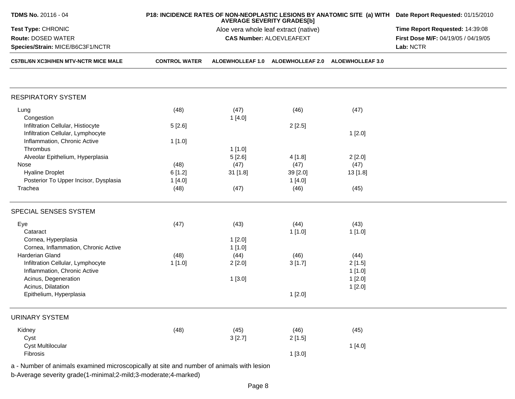| TDMS No. 20116 - 04                         |                      | P18: INCIDENCE RATES OF NON-NEOPLASTIC LESIONS BY ANATOMIC SITE (a) WITH Date Report Requested: 01/15/2010<br>Time Report Requested: 14:39:08 |                                 |                                   |                                     |
|---------------------------------------------|----------------------|-----------------------------------------------------------------------------------------------------------------------------------------------|---------------------------------|-----------------------------------|-------------------------------------|
| Test Type: CHRONIC                          |                      |                                                                                                                                               |                                 |                                   |                                     |
| Route: DOSED WATER                          |                      |                                                                                                                                               | <b>CAS Number: ALOEVLEAFEXT</b> |                                   | First Dose M/F: 04/19/05 / 04/19/05 |
| Species/Strain: MICE/B6C3F1/NCTR            |                      |                                                                                                                                               | Lab: NCTR                       |                                   |                                     |
| <b>C57BL/6N XC3H/HEN MTV-NCTR MICE MALE</b> | <b>CONTROL WATER</b> | <b>ALOEWHOLLEAF 1.0</b>                                                                                                                       |                                 | ALOEWHOLLEAF 2.0 ALOEWHOLLEAF 3.0 |                                     |
|                                             |                      |                                                                                                                                               |                                 |                                   |                                     |
| <b>RESPIRATORY SYSTEM</b>                   |                      |                                                                                                                                               |                                 |                                   |                                     |
| Lung                                        | (48)                 | (47)                                                                                                                                          | (46)                            | (47)                              |                                     |
| Congestion                                  |                      | 1[4.0]                                                                                                                                        |                                 |                                   |                                     |
| Infiltration Cellular, Histiocyte           | 5[2.6]               |                                                                                                                                               | 2[2.5]                          |                                   |                                     |
| Infiltration Cellular, Lymphocyte           |                      |                                                                                                                                               |                                 | 1[2.0]                            |                                     |
| Inflammation, Chronic Active                | 1[1.0]               |                                                                                                                                               |                                 |                                   |                                     |
| Thrombus                                    |                      | 1[1.0]                                                                                                                                        |                                 |                                   |                                     |
| Alveolar Epithelium, Hyperplasia            |                      | 5[2.6]                                                                                                                                        | 4 [1.8]                         | 2[2.0]                            |                                     |
| Nose                                        | (48)                 | (47)                                                                                                                                          | (47)                            | (47)                              |                                     |
| <b>Hyaline Droplet</b>                      | 6[1.2]               | 31 [1.8]                                                                                                                                      | 39 [2.0]                        | 13[1.8]                           |                                     |
| Posterior To Upper Incisor, Dysplasia       | 1[4.0]               |                                                                                                                                               | 1[4.0]                          |                                   |                                     |
| Trachea                                     | (48)                 | (47)                                                                                                                                          | (46)                            | (45)                              |                                     |
|                                             |                      |                                                                                                                                               |                                 |                                   |                                     |
| SPECIAL SENSES SYSTEM                       |                      |                                                                                                                                               |                                 |                                   |                                     |
| Eye                                         | (47)                 | (43)                                                                                                                                          | (44)                            | (43)                              |                                     |
| Cataract                                    |                      |                                                                                                                                               | 1[1.0]                          | 1[1.0]                            |                                     |
| Cornea, Hyperplasia                         |                      | 1[2.0]                                                                                                                                        |                                 |                                   |                                     |
| Cornea, Inflammation, Chronic Active        |                      | 1[1.0]                                                                                                                                        |                                 |                                   |                                     |
| Harderian Gland                             | (48)                 | (44)                                                                                                                                          | (46)                            | (44)                              |                                     |
| Infiltration Cellular, Lymphocyte           | 1[1.0]               | 2[2.0]                                                                                                                                        | 3[1.7]                          | 2[1.5]                            |                                     |
| Inflammation, Chronic Active                |                      |                                                                                                                                               |                                 | 1[1.0]                            |                                     |
| Acinus, Degeneration                        |                      | 1[3.0]                                                                                                                                        |                                 | 1[2.0]                            |                                     |
| Acinus, Dilatation                          |                      |                                                                                                                                               |                                 | 1[2.0]                            |                                     |
| Epithelium, Hyperplasia                     |                      |                                                                                                                                               | 1[2.0]                          |                                   |                                     |
|                                             |                      |                                                                                                                                               |                                 |                                   |                                     |
| <b>URINARY SYSTEM</b>                       |                      |                                                                                                                                               |                                 |                                   |                                     |
| Kidney                                      | (48)                 | (45)                                                                                                                                          | (46)                            | (45)                              |                                     |
| Cyst                                        |                      | 3[2.7]                                                                                                                                        | 2[1.5]                          |                                   |                                     |
| <b>Cyst Multilocular</b>                    |                      |                                                                                                                                               |                                 | 1[4.0]                            |                                     |
| Fibrosis                                    |                      |                                                                                                                                               | 1[3.0]                          |                                   |                                     |
|                                             |                      |                                                                                                                                               |                                 |                                   |                                     |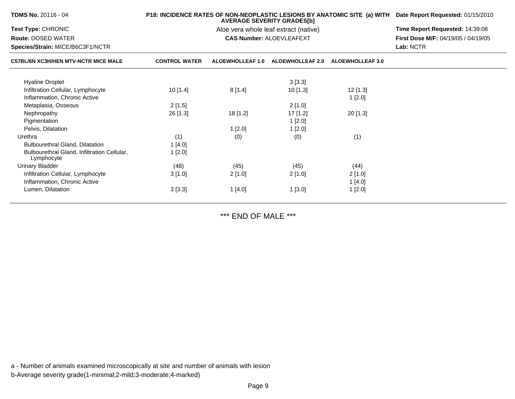| <b>TDMS No. 20116 - 04</b>                                |                      | P18: INCIDENCE RATES OF NON-NEOPLASTIC LESIONS BY ANATOMIC SITE (a) WITH Date Report Requested: 01/15/2010 |                                       |                         |                                            |
|-----------------------------------------------------------|----------------------|------------------------------------------------------------------------------------------------------------|---------------------------------------|-------------------------|--------------------------------------------|
| <b>Test Type: CHRONIC</b>                                 |                      |                                                                                                            | Aloe vera whole leaf extract (native) |                         | Time Report Requested: 14:39:08            |
| <b>Route: DOSED WATER</b>                                 |                      |                                                                                                            | <b>CAS Number: ALOEVLEAFEXT</b>       |                         | <b>First Dose M/F: 04/19/05 / 04/19/05</b> |
| Species/Strain: MICE/B6C3F1/NCTR                          |                      |                                                                                                            |                                       | Lab: NCTR               |                                            |
| <b>C57BL/6N XC3H/HEN MTV-NCTR MICE MALE</b>               | <b>CONTROL WATER</b> | <b>ALOEWHOLLEAF 1.0</b>                                                                                    | <b>ALOEWHOLLEAF 2.0</b>               | <b>ALOEWHOLLEAF 3.0</b> |                                            |
| <b>Hyaline Droplet</b>                                    |                      |                                                                                                            | 3[3.3]                                |                         |                                            |
| Infiltration Cellular, Lymphocyte                         | 10[1.4]              | 8[1.4]                                                                                                     | 10[1.3]                               | 12 [1.3]                |                                            |
| Inflammation, Chronic Active                              |                      |                                                                                                            |                                       | 1[2.0]                  |                                            |
| Metaplasia, Osseous                                       | 2[1.5]               |                                                                                                            | 2[1.0]                                |                         |                                            |
| Nephropathy                                               | 26 [1.3]             | 18 [1.2]                                                                                                   | 17 [1.2]                              | $20$ [1.3]              |                                            |
| Pigmentation                                              |                      |                                                                                                            | 1[2.0]                                |                         |                                            |
| Pelvis, Dilatation                                        |                      | 1[2.0]                                                                                                     | 1[2.0]                                |                         |                                            |
| Urethra                                                   | (1)                  | (0)                                                                                                        | (0)                                   | (1)                     |                                            |
| <b>Bulbourethral Gland, Dilatation</b>                    | 1[4.0]               |                                                                                                            |                                       |                         |                                            |
| Bulbourethral Gland, Infiltration Cellular,<br>Lymphocyte | 1[2.0]               |                                                                                                            |                                       |                         |                                            |
| <b>Urinary Bladder</b>                                    | (48)                 | (45)                                                                                                       | (45)                                  | (44)                    |                                            |
| Infiltration Cellular, Lymphocyte                         | 3[1.0]               | 2[1.0]                                                                                                     | 2[1.0]                                | 2[1.0]                  |                                            |
| Inflammation, Chronic Active                              |                      |                                                                                                            |                                       | 1[4.0]                  |                                            |
| Lumen, Dilatation                                         | 3[3.3]               | 1[4.0]                                                                                                     | 1[3.0]                                | 1[2.0]                  |                                            |
|                                                           |                      |                                                                                                            |                                       |                         |                                            |

\*\*\* END OF MALE \*\*\*

a - Number of animals examined microscopically at site and number of animals with lesionb-Average severity grade(1-minimal;2-mild;3-moderate;4-marked)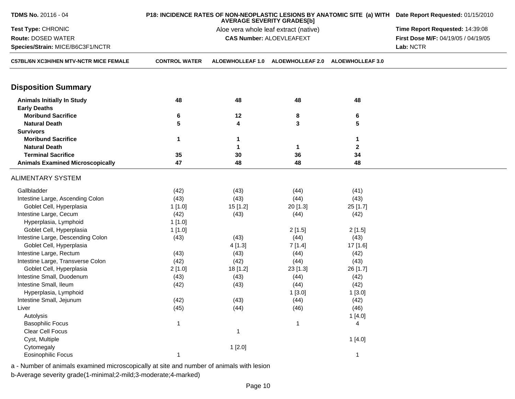| TDMS No. 20116 - 04<br>P18: INCIDENCE RATES OF NON-NEOPLASTIC LESIONS BY ANATOMIC SITE (a) WITH Date Report Requested: 01/15/2010<br><b>AVERAGE SEVERITY GRADES[b]</b> |                      |                                 |                                 |                         |                                     |
|------------------------------------------------------------------------------------------------------------------------------------------------------------------------|----------------------|---------------------------------|---------------------------------|-------------------------|-------------------------------------|
| Test Type: CHRONIC                                                                                                                                                     |                      | Time Report Requested: 14:39:08 |                                 |                         |                                     |
| <b>Route: DOSED WATER</b>                                                                                                                                              |                      |                                 | <b>CAS Number: ALOEVLEAFEXT</b> |                         | First Dose M/F: 04/19/05 / 04/19/05 |
| Species/Strain: MICE/B6C3F1/NCTR                                                                                                                                       |                      |                                 |                                 |                         | Lab: NCTR                           |
| C57BL/6N XC3H/HEN MTV-NCTR MICE FEMALE                                                                                                                                 | <b>CONTROL WATER</b> | <b>ALOEWHOLLEAF 1.0</b>         | <b>ALOEWHOLLEAF 2.0</b>         | <b>ALOEWHOLLEAF 3.0</b> |                                     |
| <b>Disposition Summary</b>                                                                                                                                             |                      |                                 |                                 |                         |                                     |
| <b>Animals Initially In Study</b>                                                                                                                                      | 48                   | 48                              | 48                              | 48                      |                                     |
| <b>Early Deaths</b>                                                                                                                                                    |                      |                                 |                                 |                         |                                     |
| <b>Moribund Sacrifice</b>                                                                                                                                              | 6                    | 12                              | 8                               | 6                       |                                     |
| <b>Natural Death</b>                                                                                                                                                   | 5                    | 4                               | 3                               | 5                       |                                     |
| <b>Survivors</b>                                                                                                                                                       |                      |                                 |                                 |                         |                                     |
| <b>Moribund Sacrifice</b>                                                                                                                                              | 1                    | 1                               |                                 | 1                       |                                     |
| <b>Natural Death</b>                                                                                                                                                   |                      | 1                               | $\mathbf 1$                     | $\mathbf 2$             |                                     |
| <b>Terminal Sacrifice</b>                                                                                                                                              | 35                   | 30                              | 36                              | 34                      |                                     |
| <b>Animals Examined Microscopically</b>                                                                                                                                | 47                   | 48                              | 48                              | 48                      |                                     |
| <b>ALIMENTARY SYSTEM</b>                                                                                                                                               |                      |                                 |                                 |                         |                                     |
| Gallbladder                                                                                                                                                            | (42)                 | (43)                            | (44)                            | (41)                    |                                     |
| Intestine Large, Ascending Colon                                                                                                                                       | (43)                 | (43)                            | (44)                            | (43)                    |                                     |
| Goblet Cell, Hyperplasia                                                                                                                                               | 1[1.0]               | 15 [1.2]                        | 20 [1.3]                        | 25 [1.7]                |                                     |
| Intestine Large, Cecum                                                                                                                                                 | (42)                 | (43)                            | (44)                            | (42)                    |                                     |
| Hyperplasia, Lymphoid                                                                                                                                                  | 1[1.0]               |                                 |                                 |                         |                                     |
| Goblet Cell, Hyperplasia                                                                                                                                               | 1[1.0]               |                                 | 2[1.5]                          | 2[1.5]                  |                                     |
| Intestine Large, Descending Colon                                                                                                                                      | (43)                 | (43)                            | (44)                            | (43)                    |                                     |
| Goblet Cell, Hyperplasia                                                                                                                                               |                      | 4[1.3]                          | 7[1.4]                          | 17 [1.6]                |                                     |
| Intestine Large, Rectum                                                                                                                                                | (43)                 | (43)                            | (44)                            | (42)                    |                                     |
| Intestine Large, Transverse Colon                                                                                                                                      | (42)                 | (42)                            | (44)                            | (43)                    |                                     |
| Goblet Cell, Hyperplasia                                                                                                                                               | 2[1.0]               | 18 [1.2]                        | 23 [1.3]                        | 26 [1.7]                |                                     |
| Intestine Small, Duodenum                                                                                                                                              | (43)                 | (43)                            | (44)                            | (42)                    |                                     |
| Intestine Small, Ileum                                                                                                                                                 | (42)                 | (43)                            | (44)                            | (42)                    |                                     |
| Hyperplasia, Lymphoid                                                                                                                                                  |                      |                                 | 1[3.0]                          | 1[3.0]                  |                                     |
| Intestine Small, Jejunum                                                                                                                                               | (42)                 | (43)                            | (44)                            | (42)                    |                                     |
| Liver                                                                                                                                                                  | (45)                 | (44)                            | (46)                            | (46)                    |                                     |
| Autolysis                                                                                                                                                              |                      |                                 |                                 | 1[4.0]                  |                                     |
| <b>Basophilic Focus</b>                                                                                                                                                | $\mathbf{1}$         |                                 | $\mathbf{1}$                    | 4                       |                                     |
| Clear Cell Focus                                                                                                                                                       |                      | -1                              |                                 |                         |                                     |
| Cyst, Multiple                                                                                                                                                         |                      |                                 |                                 | 1[4.0]                  |                                     |
| Cytomegaly                                                                                                                                                             |                      | 1[2.0]                          |                                 |                         |                                     |
| <b>Eosinophilic Focus</b>                                                                                                                                              | $\mathbf{1}$         |                                 |                                 | $\mathbf{1}$            |                                     |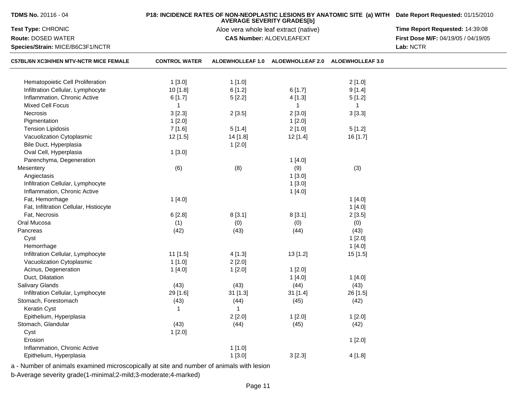| <b>TDMS No. 20116 - 04</b>             |                      | P18: INCIDENCE RATES OF NON-NEOPLASTIC LESIONS BY ANATOMIC SITE (a) WITH Date Report Requested: 01/15/2010 |                                                    |                |                                     |
|----------------------------------------|----------------------|------------------------------------------------------------------------------------------------------------|----------------------------------------------------|----------------|-------------------------------------|
| Test Type: CHRONIC                     |                      | Time Report Requested: 14:39:08                                                                            |                                                    |                |                                     |
| <b>Route: DOSED WATER</b>              |                      |                                                                                                            | <b>CAS Number: ALOEVLEAFEXT</b>                    |                | First Dose M/F: 04/19/05 / 04/19/05 |
| Species/Strain: MICE/B6C3F1/NCTR       |                      |                                                                                                            |                                                    |                | Lab: NCTR                           |
| C57BL/6N XC3H/HEN MTV-NCTR MICE FEMALE | <b>CONTROL WATER</b> |                                                                                                            | ALOEWHOLLEAF 1.0 ALOEWHOLLEAF 2.0 ALOEWHOLLEAF 3.0 |                |                                     |
| Hematopoietic Cell Proliferation       | 1[3.0]               | 1[1.0]                                                                                                     |                                                    | 2[1.0]         |                                     |
| Infiltration Cellular, Lymphocyte      | 10 [1.8]             | 6[1.2]                                                                                                     | 6[1.7]                                             | 9[1.4]         |                                     |
| Inflammation, Chronic Active           | 6[1.7]               | 5[2.2]                                                                                                     | 4[1.3]                                             | 5[1.2]         |                                     |
| <b>Mixed Cell Focus</b>                | $\mathbf{1}$         |                                                                                                            | $\mathbf{1}$                                       | $\overline{1}$ |                                     |
| Necrosis                               | 3[2.3]               | 2[3.5]                                                                                                     | 2[3.0]                                             | 3[3.3]         |                                     |
| Pigmentation                           | 1[2.0]               |                                                                                                            | 1[2.0]                                             |                |                                     |
| <b>Tension Lipidosis</b>               | 7 [1.6]              | 5[1.4]                                                                                                     | 2[1.0]                                             | 5[1.2]         |                                     |
| Vacuolization Cytoplasmic              | 12 [1.5]             | 14 [1.8]                                                                                                   | 12[1.4]                                            | 16 [1.7]       |                                     |
| Bile Duct, Hyperplasia                 |                      | 1[2.0]                                                                                                     |                                                    |                |                                     |
| Oval Cell, Hyperplasia                 | 1[3.0]               |                                                                                                            |                                                    |                |                                     |
| Parenchyma, Degeneration               |                      |                                                                                                            | 1[4.0]                                             |                |                                     |
| Mesentery                              | (6)                  | (8)                                                                                                        | (9)                                                | (3)            |                                     |
| Angiectasis                            |                      |                                                                                                            | 1[3.0]                                             |                |                                     |
| Infiltration Cellular, Lymphocyte      |                      |                                                                                                            | 1[3.0]                                             |                |                                     |
| Inflammation, Chronic Active           |                      |                                                                                                            | 1[4.0]                                             |                |                                     |
| Fat, Hemorrhage                        | 1[4.0]               |                                                                                                            |                                                    | 1[4.0]         |                                     |
| Fat, Infiltration Cellular, Histiocyte |                      |                                                                                                            |                                                    | 1[4.0]         |                                     |
| Fat, Necrosis                          | 6[2.8]               | 8[3.1]                                                                                                     | 8[3.1]                                             | 2[3.5]         |                                     |
| Oral Mucosa                            | (1)                  | (0)                                                                                                        | (0)                                                | (0)            |                                     |
| Pancreas                               | (42)                 | (43)                                                                                                       | (44)                                               | (43)           |                                     |
| Cyst                                   |                      |                                                                                                            |                                                    | 1[2.0]         |                                     |
| Hemorrhage                             |                      |                                                                                                            |                                                    | 1[4.0]         |                                     |
| Infiltration Cellular, Lymphocyte      | 11 [1.5]             | 4[1.3]                                                                                                     | 13[1.2]                                            | 15 [1.5]       |                                     |
| Vacuolization Cytoplasmic              | 1[1.0]               | 2[2.0]                                                                                                     |                                                    |                |                                     |
| Acinus, Degeneration                   | 1[4.0]               | 1[2.0]                                                                                                     | 1[2.0]                                             |                |                                     |
| Duct, Dilatation                       |                      |                                                                                                            | 1[4.0]                                             | 1[4.0]         |                                     |
| Salivary Glands                        | (43)                 | (43)                                                                                                       | (44)                                               | (43)           |                                     |
| Infiltration Cellular, Lymphocyte      | 29 [1.6]             | $31$ [1.3]                                                                                                 | 31 [1.4]                                           | 26 [1.5]       |                                     |
| Stomach, Forestomach                   | (43)                 | (44)                                                                                                       | (45)                                               | (42)           |                                     |
| Keratin Cyst                           | $\mathbf{1}$         | $\mathbf{1}$                                                                                               |                                                    |                |                                     |
| Epithelium, Hyperplasia                |                      | 2[2.0]                                                                                                     | 1[2.0]                                             | 1[2.0]         |                                     |
| Stomach, Glandular                     | (43)                 | (44)                                                                                                       | (45)                                               | (42)           |                                     |
| Cyst                                   | 1[2.0]               |                                                                                                            |                                                    |                |                                     |
| Erosion                                |                      |                                                                                                            |                                                    | 1[2.0]         |                                     |
| Inflammation, Chronic Active           |                      | 1[1.0]                                                                                                     |                                                    |                |                                     |
| Epithelium, Hyperplasia                |                      | 1[3.0]                                                                                                     | 3[2.3]                                             | 4[1.8]         |                                     |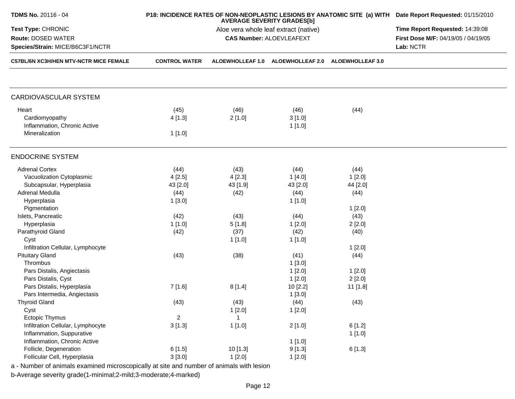| <b>TDMS No. 20116 - 04</b>                                                               |                      | P18: INCIDENCE RATES OF NON-NEOPLASTIC LESIONS BY ANATOMIC SITE (a) WITH Date Report Requested: 01/15/2010<br>Time Report Requested: 14:39:08 |                                 |                         |                                     |
|------------------------------------------------------------------------------------------|----------------------|-----------------------------------------------------------------------------------------------------------------------------------------------|---------------------------------|-------------------------|-------------------------------------|
| Test Type: CHRONIC                                                                       |                      |                                                                                                                                               |                                 |                         |                                     |
| <b>Route: DOSED WATER</b>                                                                |                      |                                                                                                                                               | <b>CAS Number: ALOEVLEAFEXT</b> |                         | First Dose M/F: 04/19/05 / 04/19/05 |
| Species/Strain: MICE/B6C3F1/NCTR                                                         |                      |                                                                                                                                               |                                 |                         | Lab: NCTR                           |
| C57BL/6N XC3H/HEN MTV-NCTR MICE FEMALE                                                   | <b>CONTROL WATER</b> | <b>ALOEWHOLLEAF 1.0</b>                                                                                                                       | <b>ALOEWHOLLEAF 2.0</b>         | <b>ALOEWHOLLEAF 3.0</b> |                                     |
|                                                                                          |                      |                                                                                                                                               |                                 |                         |                                     |
| CARDIOVASCULAR SYSTEM                                                                    |                      |                                                                                                                                               |                                 |                         |                                     |
| Heart                                                                                    | (45)                 | (46)                                                                                                                                          | (46)                            | (44)                    |                                     |
| Cardiomyopathy                                                                           | 4[1.3]               | 2[1.0]                                                                                                                                        | 3[1.0]                          |                         |                                     |
| Inflammation, Chronic Active                                                             |                      |                                                                                                                                               | 1[1.0]                          |                         |                                     |
| Mineralization                                                                           | 1[1.0]               |                                                                                                                                               |                                 |                         |                                     |
| <b>ENDOCRINE SYSTEM</b>                                                                  |                      |                                                                                                                                               |                                 |                         |                                     |
| <b>Adrenal Cortex</b>                                                                    | (44)                 | (43)                                                                                                                                          | (44)                            | (44)                    |                                     |
| Vacuolization Cytoplasmic                                                                | 4[2.5]               | 4[2.3]                                                                                                                                        | 1[4.0]                          | 1[2.0]                  |                                     |
| Subcapsular, Hyperplasia                                                                 | 43 [2.0]             | 43 [1.9]                                                                                                                                      | 43 [2.0]                        | 44 [2.0]                |                                     |
| Adrenal Medulla                                                                          | (44)                 | (42)                                                                                                                                          | (44)                            | (44)                    |                                     |
| Hyperplasia                                                                              | 1[3.0]               |                                                                                                                                               | 1 [1.0]                         |                         |                                     |
| Pigmentation                                                                             |                      |                                                                                                                                               |                                 | 1[2.0]                  |                                     |
| Islets, Pancreatic                                                                       | (42)                 | (43)                                                                                                                                          | (44)                            | (43)                    |                                     |
| Hyperplasia                                                                              | 1[1.0]               | 5[1.8]                                                                                                                                        | 1[2.0]                          | 2[2.0]                  |                                     |
| Parathyroid Gland                                                                        | (42)                 | (37)                                                                                                                                          | (42)                            | (40)                    |                                     |
| Cyst                                                                                     |                      |                                                                                                                                               | 1 [1.0]                         |                         |                                     |
| Infiltration Cellular, Lymphocyte                                                        |                      | 1 [1.0]                                                                                                                                       |                                 |                         |                                     |
|                                                                                          |                      |                                                                                                                                               |                                 | 1[2.0]                  |                                     |
| <b>Pituitary Gland</b><br>Thrombus                                                       | (43)                 | (38)                                                                                                                                          | (41)                            | (44)                    |                                     |
|                                                                                          |                      |                                                                                                                                               | 1[3.0]                          |                         |                                     |
| Pars Distalis, Angiectasis                                                               |                      |                                                                                                                                               | 1[2.0]                          | 1[2.0]                  |                                     |
| Pars Distalis, Cyst                                                                      |                      |                                                                                                                                               | 1[2.0]                          | 2[2.0]                  |                                     |
| Pars Distalis, Hyperplasia                                                               | 7[1.6]               | 8[1.4]                                                                                                                                        | 10 [2.2]                        | 11 [1.8]                |                                     |
| Pars Intermedia, Angiectasis                                                             |                      |                                                                                                                                               | 1[3.0]                          |                         |                                     |
| <b>Thyroid Gland</b>                                                                     | (43)                 | (43)                                                                                                                                          | (44)                            | (43)                    |                                     |
| Cyst                                                                                     |                      | 1[2.0]                                                                                                                                        | 1[2.0]                          |                         |                                     |
| Ectopic Thymus                                                                           | $\overline{2}$       | 1                                                                                                                                             |                                 |                         |                                     |
| Infiltration Cellular, Lymphocyte                                                        | 3[1.3]               | 1 [1.0]                                                                                                                                       | 2[1.0]                          | 6[1.2]                  |                                     |
| Inflammation, Suppurative                                                                |                      |                                                                                                                                               |                                 | 1[1.0]                  |                                     |
| Inflammation, Chronic Active                                                             |                      |                                                                                                                                               | 1[1.0]                          |                         |                                     |
| Follicle, Degeneration                                                                   | 6[1.5]               | 10 [1.3]                                                                                                                                      | 9[1.3]                          | 6[1.3]                  |                                     |
| Follicular Cell, Hyperplasia                                                             | 3[3.0]               | 1[2.0]                                                                                                                                        | 1[2.0]                          |                         |                                     |
| a - Number of animals examined microscopically at site and number of animals with lesion |                      |                                                                                                                                               |                                 |                         |                                     |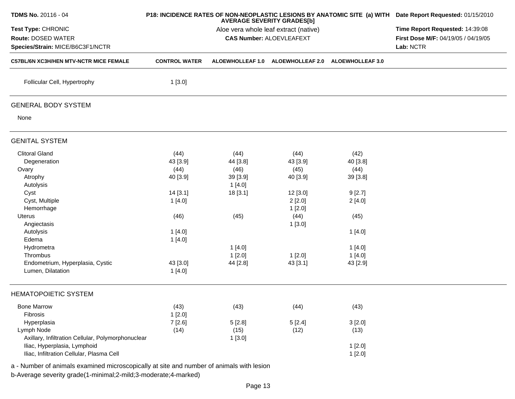| <b>TDMS No. 20116 - 04</b>                                                                                                                                                                                                                       |                                                                                                             | <b>AVERAGE SEVERITY GRADES[b]</b>                                                                  | P18: INCIDENCE RATES OF NON-NEOPLASTIC LESIONS BY ANATOMIC SITE (a) WITH Date Report Requested: 01/15/2010   |                                                                                                            |  |
|--------------------------------------------------------------------------------------------------------------------------------------------------------------------------------------------------------------------------------------------------|-------------------------------------------------------------------------------------------------------------|----------------------------------------------------------------------------------------------------|--------------------------------------------------------------------------------------------------------------|------------------------------------------------------------------------------------------------------------|--|
| Test Type: CHRONIC<br>Route: DOSED WATER<br>Species/Strain: MICE/B6C3F1/NCTR                                                                                                                                                                     |                                                                                                             | Time Report Requested: 14:39:08<br>First Dose M/F: 04/19/05 / 04/19/05<br>Lab: NCTR                |                                                                                                              |                                                                                                            |  |
| <b>C57BL/6N XC3H/HEN MTV-NCTR MICE FEMALE</b>                                                                                                                                                                                                    | <b>CONTROL WATER</b>                                                                                        | <b>ALOEWHOLLEAF 1.0</b>                                                                            | <b>ALOEWHOLLEAF 2.0</b>                                                                                      | <b>ALOEWHOLLEAF 3.0</b>                                                                                    |  |
| Follicular Cell, Hypertrophy                                                                                                                                                                                                                     | 1[3.0]                                                                                                      |                                                                                                    |                                                                                                              |                                                                                                            |  |
| <b>GENERAL BODY SYSTEM</b>                                                                                                                                                                                                                       |                                                                                                             |                                                                                                    |                                                                                                              |                                                                                                            |  |
| None                                                                                                                                                                                                                                             |                                                                                                             |                                                                                                    |                                                                                                              |                                                                                                            |  |
| <b>GENITAL SYSTEM</b>                                                                                                                                                                                                                            |                                                                                                             |                                                                                                    |                                                                                                              |                                                                                                            |  |
| <b>Clitoral Gland</b><br>Degeneration<br>Ovary<br>Atrophy<br>Autolysis<br>Cyst<br>Cyst, Multiple<br>Hemorrhage<br>Uterus<br>Angiectasis<br>Autolysis<br>Edema<br>Hydrometra<br>Thrombus<br>Endometrium, Hyperplasia, Cystic<br>Lumen, Dilatation | (44)<br>43 [3.9]<br>(44)<br>40 [3.9]<br>14[3.1]<br>1[4.0]<br>(46)<br>1[4.0]<br>1[4.0]<br>43 [3.0]<br>1[4.0] | (44)<br>44 [3.8]<br>(46)<br>39 [3.9]<br>1[4.0]<br>18 [3.1]<br>(45)<br>1[4.0]<br>1[2.0]<br>44 [2.8] | (44)<br>43 [3.9]<br>(45)<br>40 [3.9]<br>12 [3.0]<br>2[2.0]<br>1[2.0]<br>(44)<br>1[3.0]<br>1[2.0]<br>43 [3.1] | (42)<br>40 [3.8]<br>(44)<br>39 [3.8]<br>9[2.7]<br>2[4.0]<br>(45)<br>1[4.0]<br>1[4.0]<br>1[4.0]<br>43 [2.9] |  |
| <b>HEMATOPOIETIC SYSTEM</b>                                                                                                                                                                                                                      |                                                                                                             |                                                                                                    |                                                                                                              |                                                                                                            |  |
| <b>Bone Marrow</b><br>Fibrosis<br>Hyperplasia                                                                                                                                                                                                    | (43)<br>1[2.0]<br>7[2.6]                                                                                    | (43)<br>5[2.8]                                                                                     | (44)<br>5[2.4]                                                                                               | (43)<br>3[2.0]                                                                                             |  |
| Lymph Node<br>Axillary, Infiltration Cellular, Polymorphonuclear<br>Iliac, Hyperplasia, Lymphoid<br>Iliac, Infiltration Cellular, Plasma Cell                                                                                                    | (14)                                                                                                        | (15)<br>1[3.0]                                                                                     | (12)                                                                                                         | (13)<br>1[2.0]<br>1[2.0]                                                                                   |  |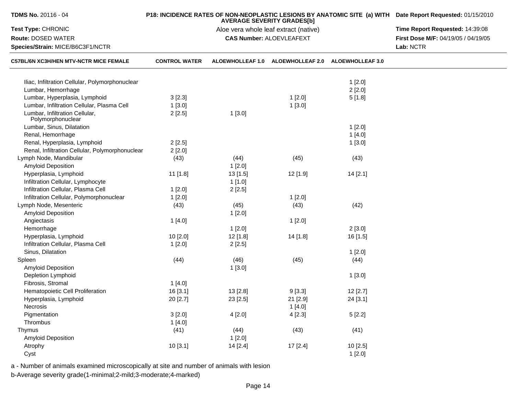| TDMS No. 20116 - 04                                                               |                                       | <b>AVERAGE SEVERITY GRADES[b]</b> | P18: INCIDENCE RATES OF NON-NEOPLASTIC LESIONS BY ANATOMIC SITE (a) WITH Date Report Requested: 01/15/2010 |                         |                                     |
|-----------------------------------------------------------------------------------|---------------------------------------|-----------------------------------|------------------------------------------------------------------------------------------------------------|-------------------------|-------------------------------------|
| Test Type: CHRONIC                                                                | Aloe vera whole leaf extract (native) |                                   |                                                                                                            |                         | Time Report Requested: 14:39:08     |
| <b>Route: DOSED WATER</b>                                                         |                                       |                                   | <b>CAS Number: ALOEVLEAFEXT</b>                                                                            |                         | First Dose M/F: 04/19/05 / 04/19/05 |
| Species/Strain: MICE/B6C3F1/NCTR<br><b>C57BL/6N XC3H/HEN MTV-NCTR MICE FEMALE</b> |                                       |                                   | Lab: NCTR                                                                                                  |                         |                                     |
|                                                                                   | <b>CONTROL WATER</b>                  | <b>ALOEWHOLLEAF 1.0</b>           | <b>ALOEWHOLLEAF 2.0</b>                                                                                    | <b>ALOEWHOLLEAF 3.0</b> |                                     |
| Iliac, Infiltration Cellular, Polymorphonuclear                                   |                                       |                                   |                                                                                                            | 1[2.0]                  |                                     |
| Lumbar, Hemorrhage                                                                |                                       |                                   |                                                                                                            | 2[2.0]                  |                                     |
| Lumbar, Hyperplasia, Lymphoid                                                     | 3[2.3]                                |                                   | 1[2.0]                                                                                                     | 5[1.8]                  |                                     |
| Lumbar, Infiltration Cellular, Plasma Cell                                        | 1[3.0]                                |                                   | 1[3.0]                                                                                                     |                         |                                     |
| Lumbar, Infiltration Cellular,<br>Polymorphonuclear                               | 2[2.5]                                | 1[3.0]                            |                                                                                                            |                         |                                     |
| Lumbar, Sinus, Dilatation                                                         |                                       |                                   |                                                                                                            | 1[2.0]                  |                                     |
| Renal, Hemorrhage                                                                 |                                       |                                   |                                                                                                            | 1[4.0]                  |                                     |
| Renal, Hyperplasia, Lymphoid                                                      | 2[2.5]                                |                                   |                                                                                                            | 1[3.0]                  |                                     |
| Renal, Infiltration Cellular, Polymorphonuclear                                   | 2[2.0]                                |                                   |                                                                                                            |                         |                                     |
| Lymph Node, Mandibular                                                            | (43)                                  | (44)                              | (45)                                                                                                       | (43)                    |                                     |
| Amyloid Deposition                                                                |                                       | 1[2.0]                            |                                                                                                            |                         |                                     |
| Hyperplasia, Lymphoid                                                             | 11 [1.8]                              | 13[1.5]                           | 12 [1.9]                                                                                                   | 14 [2.1]                |                                     |
| Infiltration Cellular, Lymphocyte                                                 |                                       | 1[1.0]                            |                                                                                                            |                         |                                     |
| Infiltration Cellular, Plasma Cell                                                | 1[2.0]                                | 2[2.5]                            |                                                                                                            |                         |                                     |
| Infiltration Cellular, Polymorphonuclear                                          | 1[2.0]                                |                                   | 1[2.0]                                                                                                     |                         |                                     |
| Lymph Node, Mesenteric                                                            | (43)                                  | (45)                              | (43)                                                                                                       | (42)                    |                                     |
| <b>Amyloid Deposition</b>                                                         |                                       | 1[2.0]                            |                                                                                                            |                         |                                     |
| Angiectasis                                                                       | 1[4.0]                                |                                   | 1[2.0]                                                                                                     |                         |                                     |
| Hemorrhage                                                                        |                                       | 1[2.0]                            |                                                                                                            | 2[3.0]                  |                                     |
| Hyperplasia, Lymphoid                                                             | 10 [2.0]                              | $12$ [1.8]                        | 14 [1.8]                                                                                                   | 16 [1.5]                |                                     |
| Infiltration Cellular, Plasma Cell                                                | 1[2.0]                                | 2[2.5]                            |                                                                                                            |                         |                                     |
| Sinus, Dilatation                                                                 |                                       |                                   |                                                                                                            | 1[2.0]                  |                                     |
| Spleen                                                                            | (44)                                  | (46)                              | (45)                                                                                                       | (44)                    |                                     |
| <b>Amyloid Deposition</b>                                                         |                                       | 1[3.0]                            |                                                                                                            |                         |                                     |
| Depletion Lymphoid                                                                |                                       |                                   |                                                                                                            | 1[3.0]                  |                                     |
| Fibrosis, Stromal                                                                 | 1[4.0]                                |                                   |                                                                                                            |                         |                                     |
| Hematopoietic Cell Proliferation                                                  | 16 [3.1]                              | 13 [2.8]                          | 9[3.3]                                                                                                     | 12 [2.7]                |                                     |
| Hyperplasia, Lymphoid                                                             | 20 [2.7]                              | 23 [2.5]                          | 21 [2.9]                                                                                                   | 24 [3.1]                |                                     |
| Necrosis                                                                          |                                       |                                   | 1[4.0]                                                                                                     |                         |                                     |
| Pigmentation                                                                      | 3[2.0]                                | 4[2.0]                            | 4[2.3]                                                                                                     | 5[2.2]                  |                                     |
| Thrombus                                                                          | 1[4.0]                                |                                   |                                                                                                            |                         |                                     |
| Thymus                                                                            | (41)                                  | (44)                              | (43)                                                                                                       | (41)                    |                                     |
| <b>Amyloid Deposition</b>                                                         |                                       | 1[2.0]                            |                                                                                                            |                         |                                     |
| Atrophy                                                                           | 10[3.1]                               | 14 [2.4]                          | 17 [2.4]                                                                                                   | 10 [2.5]                |                                     |
| Cyst                                                                              |                                       |                                   |                                                                                                            | 1[2.0]                  |                                     |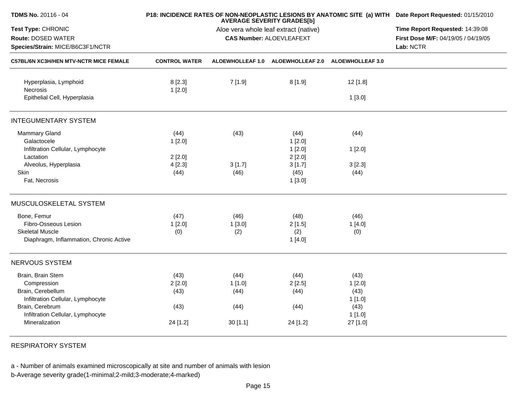|                      | Time Report Requested: 14:39:08                    |                                |                                                                                                                                                           |                                                                                                                                                                                                               |
|----------------------|----------------------------------------------------|--------------------------------|-----------------------------------------------------------------------------------------------------------------------------------------------------------|---------------------------------------------------------------------------------------------------------------------------------------------------------------------------------------------------------------|
|                      |                                                    |                                |                                                                                                                                                           |                                                                                                                                                                                                               |
|                      |                                                    |                                |                                                                                                                                                           | First Dose M/F: 04/19/05 / 04/19/05                                                                                                                                                                           |
|                      |                                                    |                                | Lab: NCTR                                                                                                                                                 |                                                                                                                                                                                                               |
| <b>CONTROL WATER</b> |                                                    |                                |                                                                                                                                                           |                                                                                                                                                                                                               |
| 8[2.3]               | 7[1.9]                                             | 8[1.9]                         | 12 [1.8]                                                                                                                                                  |                                                                                                                                                                                                               |
|                      |                                                    |                                | 1[3.0]                                                                                                                                                    |                                                                                                                                                                                                               |
|                      |                                                    |                                |                                                                                                                                                           |                                                                                                                                                                                                               |
| (44)<br>1[2.0]       | (43)                                               | (44)<br>1[2.0]                 | (44)                                                                                                                                                      |                                                                                                                                                                                                               |
|                      |                                                    | 1[2.0]                         | 1[2.0]                                                                                                                                                    |                                                                                                                                                                                                               |
| 4[2.3]               | 3[1.7]                                             | 3[1.7]                         | 3[2.3]                                                                                                                                                    |                                                                                                                                                                                                               |
|                      |                                                    | 1[3.0]                         |                                                                                                                                                           |                                                                                                                                                                                                               |
|                      |                                                    |                                |                                                                                                                                                           |                                                                                                                                                                                                               |
| (47)                 | (46)                                               | (48)                           | (46)                                                                                                                                                      |                                                                                                                                                                                                               |
| (0)                  | (2)                                                | (2)<br>1[4.0]                  | (0)                                                                                                                                                       |                                                                                                                                                                                                               |
|                      |                                                    |                                |                                                                                                                                                           |                                                                                                                                                                                                               |
| (43)                 | (44)                                               | (44)                           | (43)                                                                                                                                                      |                                                                                                                                                                                                               |
| 2[2.0]               | 1[1.0]                                             | 2[2.5]                         | 1[2.0]                                                                                                                                                    |                                                                                                                                                                                                               |
|                      |                                                    |                                |                                                                                                                                                           |                                                                                                                                                                                                               |
|                      |                                                    |                                |                                                                                                                                                           |                                                                                                                                                                                                               |
| 24 [1.2]             | 30[1.1]                                            | 24 [1.2]                       | 1[1.0]<br>27 [1.0]                                                                                                                                        |                                                                                                                                                                                                               |
|                      | 1[2.0]<br>2[2.0]<br>(44)<br>1[2.0]<br>(43)<br>(43) | (46)<br>1[3.0]<br>(44)<br>(44) | <b>AVERAGE SEVERITY GRADES[b]</b><br>Aloe vera whole leaf extract (native)<br><b>CAS Number: ALOEVLEAFEXT</b><br>2[2.0]<br>(45)<br>2[1.5]<br>(44)<br>(44) | P18: INCIDENCE RATES OF NON-NEOPLASTIC LESIONS BY ANATOMIC SITE (a) WITH Date Report Requested: 01/15/2010<br>ALOEWHOLLEAF 1.0 ALOEWHOLLEAF 2.0 ALOEWHOLLEAF 3.0<br>(44)<br>1[4.0]<br>(43)<br>1 [1.0]<br>(43) |

RESPIRATORY SYSTEM

a - Number of animals examined microscopically at site and number of animals with lesionb-Average severity grade(1-minimal;2-mild;3-moderate;4-marked)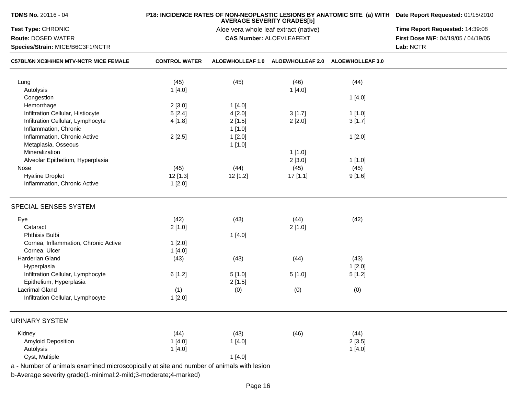| <b>TDMS No. 20116 - 04</b>                                                               |                      | P18: INCIDENCE RATES OF NON-NEOPLASTIC LESIONS BY ANATOMIC SITE (a) WITH Date Report Requested: 01/15/2010<br>Time Report Requested: 14:39:08 |                                                    |        |                                     |
|------------------------------------------------------------------------------------------|----------------------|-----------------------------------------------------------------------------------------------------------------------------------------------|----------------------------------------------------|--------|-------------------------------------|
| Test Type: CHRONIC                                                                       |                      |                                                                                                                                               |                                                    |        |                                     |
| Route: DOSED WATER                                                                       |                      |                                                                                                                                               | <b>CAS Number: ALOEVLEAFEXT</b>                    |        | First Dose M/F: 04/19/05 / 04/19/05 |
| Species/Strain: MICE/B6C3F1/NCTR<br><b>C57BL/6N XC3H/HEN MTV-NCTR MICE FEMALE</b>        |                      | Lab: NCTR                                                                                                                                     |                                                    |        |                                     |
|                                                                                          | <b>CONTROL WATER</b> |                                                                                                                                               | ALOEWHOLLEAF 1.0 ALOEWHOLLEAF 2.0 ALOEWHOLLEAF 3.0 |        |                                     |
| Lung                                                                                     | (45)                 | (45)                                                                                                                                          | (46)                                               | (44)   |                                     |
| Autolysis                                                                                | 1[4.0]               |                                                                                                                                               | 1[4.0]                                             |        |                                     |
| Congestion                                                                               |                      |                                                                                                                                               |                                                    | 1[4.0] |                                     |
| Hemorrhage                                                                               | 2[3.0]               | 1[4.0]                                                                                                                                        |                                                    |        |                                     |
| Infiltration Cellular, Histiocyte                                                        | 5[2.4]               | 4[2.0]                                                                                                                                        | 3[1.7]                                             | 1[1.0] |                                     |
| Infiltration Cellular, Lymphocyte                                                        | 4 [1.8]              | 2[1.5]                                                                                                                                        | 2[2.0]                                             | 3[1.7] |                                     |
| Inflammation, Chronic                                                                    |                      | 1[1.0]                                                                                                                                        |                                                    |        |                                     |
| Inflammation, Chronic Active                                                             | 2[2.5]               | 1[2.0]                                                                                                                                        |                                                    | 1[2.0] |                                     |
| Metaplasia, Osseous                                                                      |                      | 1[1.0]                                                                                                                                        |                                                    |        |                                     |
| Mineralization                                                                           |                      |                                                                                                                                               | 1[1.0]                                             |        |                                     |
| Alveolar Epithelium, Hyperplasia                                                         |                      |                                                                                                                                               | 2[3.0]                                             | 1[1.0] |                                     |
| Nose                                                                                     | (45)                 | (44)                                                                                                                                          | (45)                                               | (45)   |                                     |
| <b>Hyaline Droplet</b>                                                                   | $12$ [1.3]           | $12$ [1.2]                                                                                                                                    | 17[1.1]                                            | 9[1.6] |                                     |
| Inflammation, Chronic Active                                                             | 1[2.0]               |                                                                                                                                               |                                                    |        |                                     |
| SPECIAL SENSES SYSTEM                                                                    |                      |                                                                                                                                               |                                                    |        |                                     |
| Eye                                                                                      | (42)                 | (43)                                                                                                                                          | (44)                                               | (42)   |                                     |
| Cataract                                                                                 | 2[1.0]               |                                                                                                                                               | 2[1.0]                                             |        |                                     |
| <b>Phthisis Bulbi</b>                                                                    |                      | 1 [4.0]                                                                                                                                       |                                                    |        |                                     |
| Cornea, Inflammation, Chronic Active                                                     | 1[2.0]               |                                                                                                                                               |                                                    |        |                                     |
| Cornea, Ulcer                                                                            | 1[4.0]               |                                                                                                                                               |                                                    |        |                                     |
| Harderian Gland                                                                          | (43)                 | (43)                                                                                                                                          | (44)                                               | (43)   |                                     |
| Hyperplasia                                                                              |                      |                                                                                                                                               |                                                    | 1[2.0] |                                     |
| Infiltration Cellular, Lymphocyte                                                        | 6[1.2]               | 5[1.0]                                                                                                                                        | 5[1.0]                                             | 5[1.2] |                                     |
| Epithelium, Hyperplasia                                                                  |                      | 2[1.5]                                                                                                                                        |                                                    |        |                                     |
| <b>Lacrimal Gland</b>                                                                    | (1)                  | (0)                                                                                                                                           | (0)                                                | (0)    |                                     |
| Infiltration Cellular, Lymphocyte                                                        | 1[2.0]               |                                                                                                                                               |                                                    |        |                                     |
| <b>URINARY SYSTEM</b>                                                                    |                      |                                                                                                                                               |                                                    |        |                                     |
| Kidney                                                                                   | (44)                 | (43)                                                                                                                                          | (46)                                               | (44)   |                                     |
| <b>Amyloid Deposition</b>                                                                | 1[4.0]               | 1[4.0]                                                                                                                                        |                                                    | 2[3.5] |                                     |
| Autolysis                                                                                | 1[4.0]               |                                                                                                                                               |                                                    | 1[4.0] |                                     |
| Cyst, Multiple                                                                           |                      | 1[4.0]                                                                                                                                        |                                                    |        |                                     |
| a - Number of animals examined microscopically at site and number of animals with lesion |                      |                                                                                                                                               |                                                    |        |                                     |
| b-Average severity grade(1-minimal;2-mild;3-moderate;4-marked)                           |                      |                                                                                                                                               |                                                    |        |                                     |
|                                                                                          |                      |                                                                                                                                               |                                                    |        |                                     |